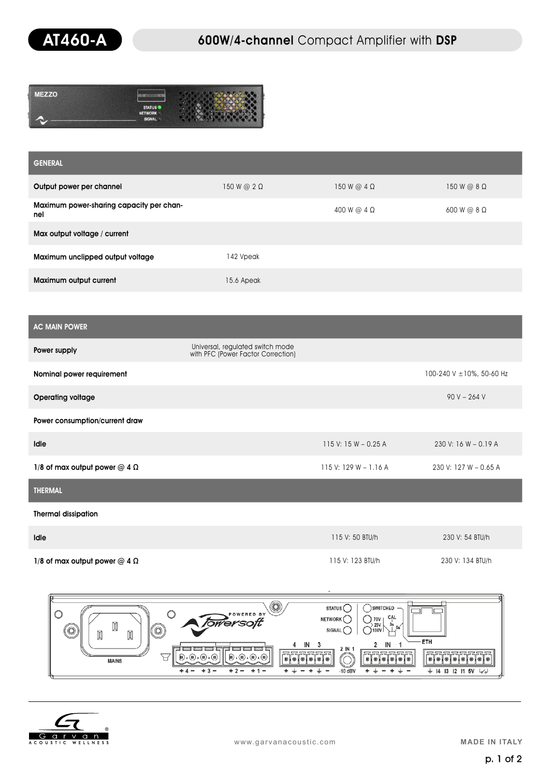

| E770 | œ                               |  |
|------|---------------------------------|--|
|      | <b>STATUS</b><br><b>NETWORK</b> |  |
|      | SIGNAL /                        |  |

| <b>GENERAL</b>                                  |                    |                    |                    |
|-------------------------------------------------|--------------------|--------------------|--------------------|
| Output power per channel                        | 150 W @ $2 \Omega$ | 150 W @ $4 \Omega$ | $150 W @ 8 \Omega$ |
| Maximum power-sharing capacity per chan-<br>nel |                    | 400 W @ $4 \Omega$ | $600 W @ 8\Omega$  |
| Max output voltage / current                    |                    |                    |                    |
| Maximum unclipped output voltage                | 142 Vpeak          |                    |                    |
| Maximum output current                          | 15.6 Apeak         |                    |                    |

| <b>AC MAIN POWER</b>                   |                                                                        |                         |                               |
|----------------------------------------|------------------------------------------------------------------------|-------------------------|-------------------------------|
| Power supply                           | Universal, regulated switch mode<br>with PFC (Power Factor Correction) |                         |                               |
| Nominal power requirement              |                                                                        |                         | 100-240 V $\pm$ 10%, 50-60 Hz |
| <b>Operating voltage</b>               |                                                                        |                         | $90 V - 264 V$                |
| Power consumption/current draw         |                                                                        |                         |                               |
| <b>Idle</b>                            |                                                                        | 115 V: $15 W - 0.25 A$  | $230$ V: 16 W - 0.19 A        |
| 1/8 of max output power $@$ 4 $\Omega$ |                                                                        | $115$ V: 129 W - 1.16 A | 230 V: 127 W - 0.65 A         |
| <b>THERMAL</b>                         |                                                                        |                         |                               |

Thermal dissipation

| Idle                                   | 115 V: 50 BTU/h  | 230 V: 54 BTU/h  |
|----------------------------------------|------------------|------------------|
| 1/8 of max output power $@$ 4 $\Omega$ | 115 V: 123 BTU/h | 230 V: 134 BTU/h |